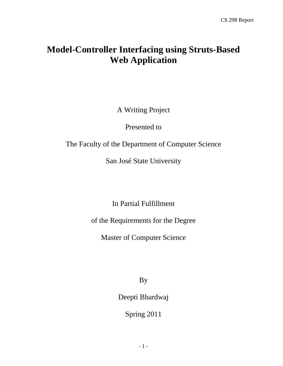# **Model-Controller Interfacing using Struts-Based Web Application**

A Writing Project

Presented to

The Faculty of the Department of Computer Science

San José State University

In Partial Fulfillment

of the Requirements for the Degree

Master of Computer Science

By

Deepti Bhardwaj

Spring 2011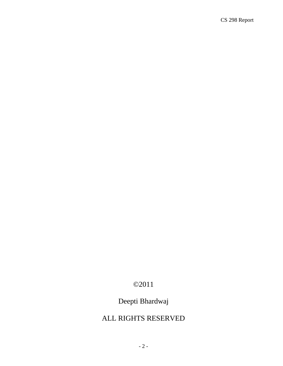# ©2011

# Deepti Bhardwaj

## ALL RIGHTS RESERVED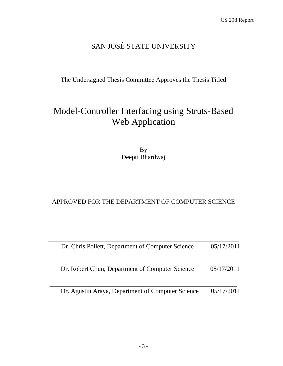# SAN JOSÉ STATE UNIVERSITY

The Undersigned Thesis Committee Approves the Thesis Titled

# Model-Controller Interfacing using Struts-Based Web Application

By Deepti Bhardwaj

## APPROVED FOR THE DEPARTMENT OF COMPUTER SCIENCE

| Dr. Chris Pollett, Department of Computer Science | 05/17/2011 |
|---------------------------------------------------|------------|
| Dr. Robert Chun, Department of Computer Science   | 05/17/2011 |
| Dr. Agustin Araya, Department of Computer Science | 05/17/2011 |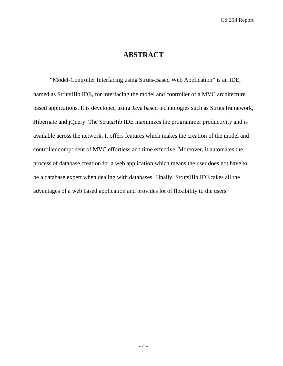## **ABSTRACT**

"Model-Controller Interfacing using Struts-Based Web Application" is an IDE, named as StrutsHib IDE, for interfacing the model and controller of a MVC architecture based applications. It is developed using Java based technologies such as Struts framework, Hibernate and jQuery. The StrutsHib IDE maximizes the programmer productivity and is available across the network. It offers features which makes the creation of the model and controller component of MVC effortless and time effective. Moreover, it automates the process of database creation for a web application which means the user does not have to be a database expert when dealing with databases. Finally, StrutsHib IDE takes all the advantages of a web based application and provides lot of flexibility to the users.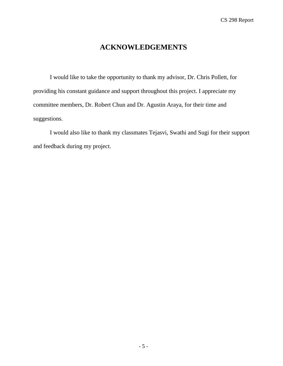## **ACKNOWLEDGEMENTS**

I would like to take the opportunity to thank my advisor, Dr. Chris Pollett, for providing his constant guidance and support throughout this project. I appreciate my committee members, Dr. Robert Chun and Dr. Agustin Araya, for their time and suggestions.

I would also like to thank my classmates Tejasvi, Swathi and Sugi for their support and feedback during my project.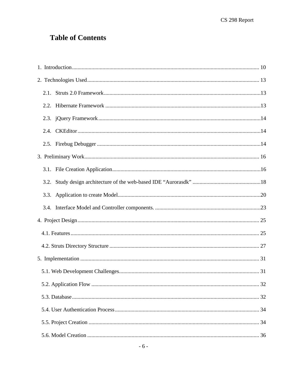# **Table of Contents**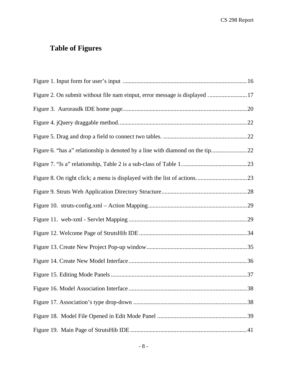# **Table of Figures**

| Figure 2. On submit without file nam einput, error message is displayed  17 |
|-----------------------------------------------------------------------------|
|                                                                             |
|                                                                             |
|                                                                             |
|                                                                             |
|                                                                             |
|                                                                             |
|                                                                             |
|                                                                             |
|                                                                             |
|                                                                             |
|                                                                             |
|                                                                             |
|                                                                             |
|                                                                             |
|                                                                             |
|                                                                             |
|                                                                             |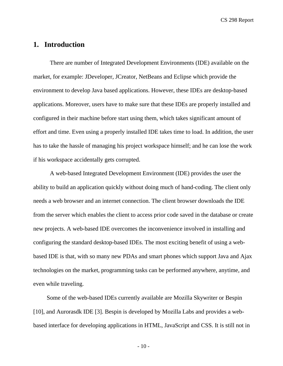## <span id="page-9-0"></span>**1. Introduction**

There are number of Integrated Development Environments (IDE) available on the market, for example: JDeveloper, JCreator, NetBeans and Eclipse which provide the environment to develop Java based applications. However, these IDEs are desktop-based applications. Moreover, users have to make sure that these IDEs are properly installed and configured in their machine before start using them, which takes significant amount of effort and time. Even using a properly installed IDE takes time to load. In addition, the user has to take the hassle of managing his project workspace himself; and he can lose the work if his workspace accidentally gets corrupted.

A web-based Integrated Development Environment (IDE) provides the user the ability to build an application quickly without doing much of hand-coding. The client only needs a web browser and an internet connection. The client browser downloads the IDE from the server which enables the client to access prior code saved in the database or create new projects. A web-based IDE overcomes the inconvenience involved in installing and configuring the standard desktop-based IDEs. The most exciting benefit of using a webbased IDE is that, with so many new PDAs and smart phones which support Java and Ajax technologies on the market, programming tasks can be performed anywhere, anytime, and even while traveling.

 Some of the web-based IDEs currently available are Mozilla Skywriter or Bespin [10], and Aurorasdk IDE [3]. Bespin is developed by Mozilla Labs and provides a webbased interface for developing applications in HTML, JavaScript and CSS. It is still not in

 $-10-$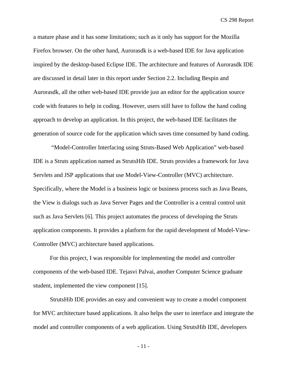a mature phase and it has some limitations; such as it only has support for the Mozilla Firefox browser. On the other hand, Aurorasdk is a web-based IDE for Java application inspired by the desktop-based Eclipse IDE. The architecture and features of Aurorasdk IDE are discussed in detail later in this report under Section 2.2. Including Bespin and Aurorasdk, all the other web-based IDE provide just an editor for the application source code with features to help in coding. However, users still have to follow the hand coding approach to develop an application. In this project, the web-based IDE facilitates the generation of source code for the application which saves time consumed by hand coding.

 "Model-Controller Interfacing using Struts-Based Web Application" web-based IDE is a Struts application named as StrutsHib IDE. Struts provides a framework for Java Servlets and JSP applications that use Model-View-Controller (MVC) architecture. Specifically, where the Model is a business logic or business process such as Java Beans, the View is dialogs such as Java Server Pages and the Controller is a central control unit such as Java Servlets [6]. This project automates the process of developing the Struts application components. It provides a platform for the rapid development of Model-View-Controller (MVC) architecture based applications.

For this project, I was responsible for implementing the model and controller components of the web-based IDE. Tejasvi Palvai, another Computer Science graduate student, implemented the view component [15].

StrutsHib IDE provides an easy and convenient way to create a model component for MVC architecture based applications. It also helps the user to interface and integrate the model and controller components of a web application. Using StrutsHib IDE, developers

- 11 -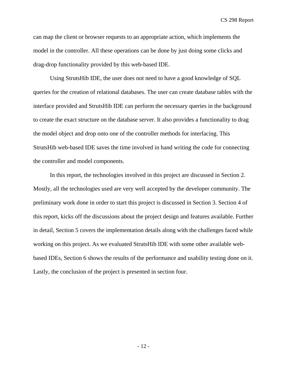can map the client or browser requests to an appropriate action, which implements the model in the controller. All these operations can be done by just doing some clicks and drag-drop functionality provided by this web-based IDE.

Using StrutsHib IDE, the user does not need to have a good knowledge of SQL queries for the creation of relational databases. The user can create database tables with the interface provided and StrutsHib IDE can perform the necessary queries in the background to create the exact structure on the database server. It also provides a functionality to drag the model object and drop onto one of the controller methods for interfacing. This StrutsHib web-based IDE saves the time involved in hand writing the code for connecting the controller and model components.

In this report, the technologies involved in this project are discussed in Section 2. Mostly, all the technologies used are very well accepted by the developer community. The preliminary work done in order to start this project is discussed in Section 3. Section 4 of this report, kicks off the discussions about the project design and features available. Further in detail, Section 5 covers the implementation details along with the challenges faced while working on this project. As we evaluated StrutsHib IDE with some other available webbased IDEs, Section 6 shows the results of the performance and usability testing done on it. Lastly, the conclusion of the project is presented in section four.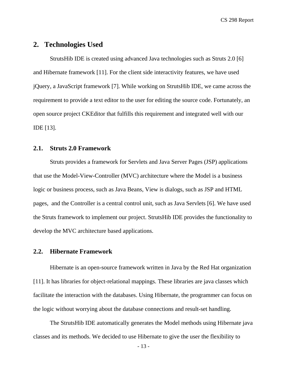## <span id="page-12-0"></span>**2. Technologies Used**

StrutsHib IDE is created using advanced Java technologies such as Struts 2.0 [6] and Hibernate framework [11]. For the client side interactivity features, we have used jQuery, a JavaScript framework [7]. While working on StrutsHib IDE, we came across the requirement to provide a text editor to the user for editing the source code. Fortunately, an open source project CKEditor that fulfills this requirement and integrated well with our IDE [13].

#### <span id="page-12-1"></span>**2.1. Struts 2.0 Framework**

Struts provides a framework for Servlets and Java Server Pages (JSP) applications that use the Model-View-Controller (MVC) architecture where the Model is a business logic or business process, such as Java Beans, View is dialogs, such as JSP and HTML pages, and the Controller is a central control unit, such as Java Servlets [6]. We have used the Struts framework to implement our project. StrutsHib IDE provides the functionality to develop the MVC architecture based applications.

#### <span id="page-12-2"></span>**2.2. Hibernate Framework**

Hibernate is an open-source framework written in Java by the Red Hat organization [11]. It has libraries for object-relational mappings. These libraries are java classes which facilitate the interaction with the databases. Using Hibernate, the programmer can focus on the logic without worrying about the database connections and result-set handling.

The StrutsHib IDE automatically generates the Model methods using Hibernate java classes and its methods. We decided to use Hibernate to give the user the flexibility to

- 13 -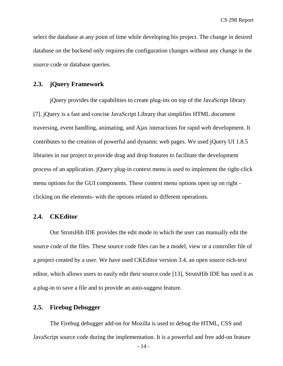select the database at any point of time while developing his project. The change in desired database on the backend only requires the configuration changes without any change in the source code or database queries.

#### <span id="page-13-0"></span>**2.3. jQuery Framework**

jQuery provides the capabilities to create [plug-ins](http://en.wikipedia.org/wiki/Plugin) on top of the JavaScript library [7]. jQuery is a fast and concise JavaScript Library that simplifies HTML document traversing, event handling, animating, and Ajax interactions for rapid web development. It contributes to the creation of powerful and dynamic web pages. We used jQuery UI 1.8.5 libraries in our project to provide drag and drop features to facilitate the development process of an application. jQuery plug-in context menu is used to implement the right-click menu options for the GUI components. These context menu options open up on right clicking on the elements- with the options related to different operations.

#### <span id="page-13-1"></span>**2.4. CKEditor**

Our StrutsHib IDE provides the edit mode in which the user can manually edit the source code of the files. These source code files can be a model, view or a controller file of a project created by a user. We have used CKEditor version 3.4, an open source rich-text editor, which allows users to easily edit their source code [13]. StrutsHib IDE has used it as a plug-in to save a file and to provide an auto-suggest feature.

### <span id="page-13-2"></span>**2.5. Firebug Debugger**

The Firebug debugger add-on for Mozilla is used to debug the HTML, CSS and JavaScript source code during the implementation. It is a powerful and free add-on feature

- 14 -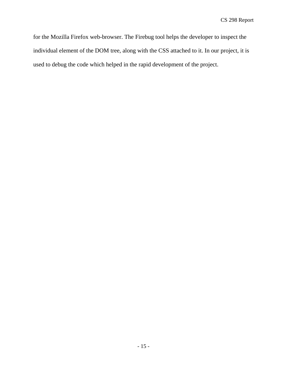for the Mozilla Firefox web-browser. The Firebug tool helps the developer to inspect the individual element of the DOM tree, along with the CSS attached to it. In our project, it is used to debug the code which helped in the rapid development of the project.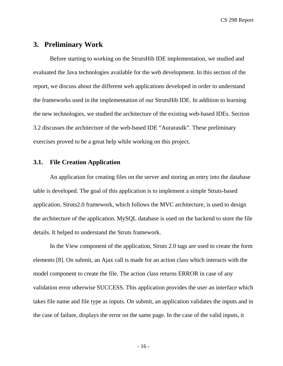## <span id="page-15-0"></span>**3. Preliminary Work**

Before starting to working on the StrutsHib IDE implementation, we studied and evaluated the Java technologies available for the web development. In this section of the report, we discuss about the different web applications developed in order to understand the frameworks used in the implementation of our StrutsHib IDE. In addition to learning the new technologies, we studied the architecture of the existing web-based IDEs. Section 3.2 discusses the architecture of the web-based IDE "Aurarasdk". These preliminary exercises proved to be a great help while working on this project.

## <span id="page-15-1"></span>**3.1. File Creation Application**

An application for creating files on the server and storing an entry into the database table is developed. The goal of this application is to implement a simple Struts-based application. Struts2.0 framework, which follows the MVC architecture, is used to design the architecture of the application. MySQL database is used on the backend to store the file details. It helped to understand the Struts framework.

In the View component of the application, Struts 2.0 tags are used to create the form elements [8]. On submit, an Ajax call is made for an action class which interacts with the model component to create the file. The action class returns ERROR in case of any validation error otherwise SUCCESS. This application provides the user an interface which takes file name and file type as inputs. On submit, an application validates the inputs and in the case of failure, displays the error on the same page. In the case of the valid inputs, it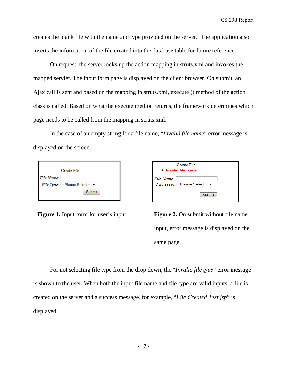creates the blank file with the name and type provided on the server. The application also inserts the information of the file created into the database table for future reference.

On request, the server looks up the action mapping in struts.xml and invokes the mapped servlet. The input form page is displayed on the client browser. On submit, an Ajax call is sent and based on the mapping in struts.xml, execute () method of the action class is called. Based on what the execute method returns, the framework determines which page needs to be called from the mapping in struts.xml.

In the case of an empty string for a file name, "*Invalid file name*" error message is displayed on the screen.

|            | Create File                                                             |
|------------|-------------------------------------------------------------------------|
| File Name: |                                                                         |
|            | <i>File Type:</i> $\vert \cdot \vert$ Please Select $\vert \cdot \vert$ |
|            | Submit                                                                  |

| Create File<br>$\bullet$ Invalid file name |                                         |
|--------------------------------------------|-----------------------------------------|
| File Name:                                 | File Type: $ -$ Please Select - $\star$ |
|                                            | Submit                                  |

<span id="page-16-0"></span>**Figure 1.** Input form for user's input **Figure 2.** On submit without file name input, error message is displayed on the same page.

For not selecting file type from the drop down, the "*Invalid file type*" error message is shown to the user. When both the input file name and file type are valid inputs, a file is created on the server and a success message, for example, "*File Created Test.jsp*" is displayed.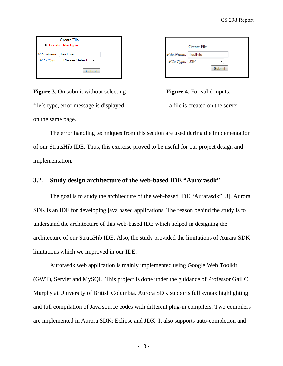|                            | Create File<br>• Invalid file type     |
|----------------------------|----------------------------------------|
| <i>File Name:</i> TestFile | File Type: $ -$ Please Select $ \star$ |
|                            | Submit                                 |

|                     | Create File |        |
|---------------------|-------------|--------|
| File Name: TestFile |             |        |
| File Type: JSP      |             |        |
|                     |             | Submit |
|                     |             |        |

**Figure 3.** On submit without selecting file's type, error message is displayed a file is created on the server. on the same page.

 The error handling techniques from this section are used during the implementation of our StrutsHib IDE. Thus, this exercise proved to be useful for our project design and implementation.

## <span id="page-17-0"></span>**3.2. Study design architecture of the web-based IDE "Aurorasdk"**

The goal is to study the architecture of the web-based IDE "Aurarasdk" [3]. Aurora SDK is an IDE for developing java based applications. The reason behind the study is to understand the architecture of this web-based IDE which helped in designing the architecture of our StrutsHib IDE. Also, the study provided the limitations of Aurara SDK limitations which we improved in our IDE.

Aurorasdk web application is mainly implemented using Google Web Toolkit (GWT), Servlet and MySQL. This project is done under the guidance of Professor Gail C. Murphy at University of British Columbia. Aurora SDK supports full syntax highlighting and full compilation of Java source codes with different plug-in compilers. Two compilers are implemented in Aurora SDK: Eclipse and JDK. It also supports auto-completion and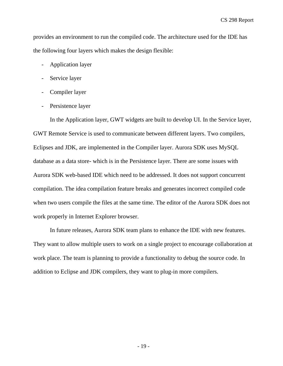provides an environment to run the compiled code. The architecture used for the IDE has the following four layers which makes the design flexible:

- Application layer
- Service layer
- Compiler layer
- Persistence layer

In the Application layer, GWT widgets are built to develop UI. In the Service layer, GWT Remote Service is used to communicate between different layers. Two compilers, Eclipses and JDK, are implemented in the Compiler layer. Aurora SDK uses MySQL database as a data store- which is in the Persistence layer. There are some issues with Aurora SDK web-based IDE which need to be addressed. It does not support concurrent compilation. The idea compilation feature breaks and generates incorrect compiled code when two users compile the files at the same time. The editor of the Aurora SDK does not work properly in Internet Explorer browser.

In future releases, Aurora SDK team plans to enhance the IDE with new features. They want to allow multiple users to work on a single project to encourage collaboration at work place. The team is planning to provide a functionality to debug the source code. In addition to Eclipse and JDK compilers, they want to plug-in more compilers.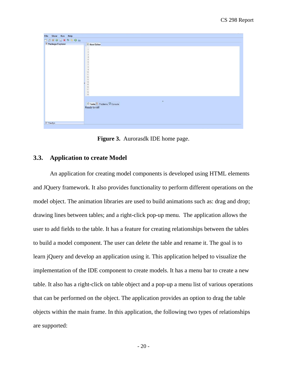| Show Run Help<br>File  |                                                                         |  |  |  |
|------------------------|-------------------------------------------------------------------------|--|--|--|
| <b>MBBGN * * * 0 m</b> |                                                                         |  |  |  |
| Package Explorer       | <b>D</b> New Editor<br>$\mathcal{A}$                                    |  |  |  |
|                        | 2. 3. 4. 5. 6. 7. 8. 9. 10. 11. 12. 13. 14. 16. 16. 17. 18. 19.         |  |  |  |
|                        | $\bullet$<br>Tasks <b>C</b> Problems <b>C</b> Console<br>Ready to roll! |  |  |  |
| · Yourlyn              |                                                                         |  |  |  |
|                        |                                                                         |  |  |  |

**Figure 3.** Aurorasdk IDE home page.

#### <span id="page-19-1"></span><span id="page-19-0"></span>**3.3. Application to create Model**

An application for creating model components is developed using HTML elements and JQuery framework. It also provides functionality to perform different operations on the model object. The animation libraries are used to build animations such as: drag and drop; drawing lines between tables; and a right-click pop-up menu. The application allows the user to add fields to the table. It has a feature for creating relationships between the tables to build a model component. The user can delete the table and rename it. The goal is to learn jQuery and develop an application using it. This application helped to visualize the implementation of the IDE component to create models. It has a menu bar to create a new table. It also has a right-click on table object and a pop-up a menu list of various operations that can be performed on the object. The application provides an option to drag the table objects within the main frame. In this application, the following two types of relationships are supported: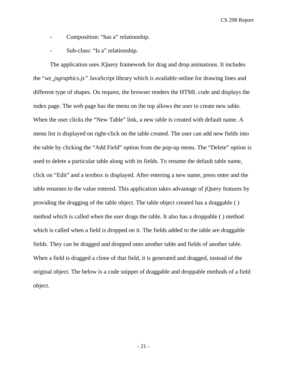- Composition: "[has a](http://en.wikipedia.org/wiki/Has-a)" relationship.
- Sub-class: "Is a" relationship.

The application uses JQuery framework for drag and drop animations. It includes the "*wz\_jsgraphics.js"* JavaScript library which is available online for drawing lines and different type of shapes. On request, the browser renders the HTML code and displays the index page. The web page has the menu on the top allows the user to create new table. When the user clicks the "New Table" link, a new table is created with default name. A menu list is displayed on right-click on the table created. The user can add new fields into the table by clicking the "Add Field" option from the pop-up menu. The "Delete" option is used to delete a particular table along with its fields. To rename the default table name, click on "Edit" and a textbox is displayed. After entering a new name, press enter and the table renames to the value entered. This application takes advantage of jQuery features by providing the dragging of the table object. The table object created has a draggable ( ) method which is called when the user drags the table. It also has a droppable ( ) method which is called when a field is dropped on it. The fields added to the table are draggable fields. They can be dragged and dropped onto another table and fields of another table. When a field is dragged a clone of that field, it is generated and dragged, instead of the original object. The below is a code snippet of draggable and droppable methods of a field object.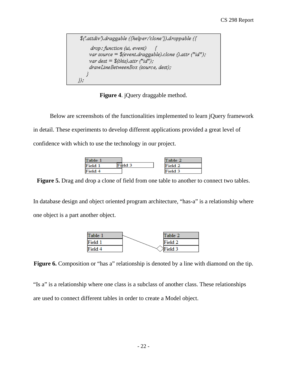\$('.attdiv').draggable ({helper:'clone'}).droppable ({ drop: function (ui, event) -7 var source =  $%$ (event.draggable).clone ().attr ("id"); var dest =  $$^{(this)}$  attr  $f''$ id"); drawLineBetweenBox (source, dest); }  $))$  ;

**Figure 4**. jQuery draggable method.

<span id="page-21-0"></span>Below are screenshots of the functionalities implemented to learn jQuery framework in detail. These experiments to develop different applications provided a great level of confidence with which to use the technology in our project.

| Table 1 |         | Table 2 |
|---------|---------|---------|
| Field 1 | field 3 | Field 2 |
| Field 4 |         | Field 3 |

<span id="page-21-1"></span>**Figure 5.** Drag and drop a clone of field from one table to another to connect two tables.

In [database design](http://en.wikipedia.org/wiki/Database_design) and [object oriented](http://en.wikipedia.org/wiki/Object_oriented) [program architecture,](http://en.wikipedia.org/wiki/Program_architecture) "has-a" is a relationship where one object is [a part](http://en.wikipedia.org/wiki/Object_composition) another object.



<span id="page-21-2"></span>**Figure 6.** Composition or "has a" relationship is denoted by a line with diamond on the tip.

"Is a" is a relationship where one class is a subclass of another class. These relationships are used to connect different tables in order to create a Model object.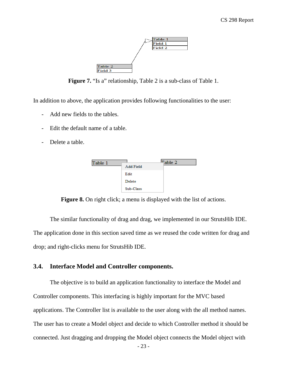

**Figure 7.** "Is a" relationship, Table 2 is a sub-class of Table 1.

<span id="page-22-1"></span>In addition to above, the application provides following functionalities to the user:

- Add new fields to the tables.
- Edit the default name of a table.
- Delete a table.



**Figure 8.** On right click; a menu is displayed with the list of actions.

<span id="page-22-2"></span> The similar functionality of drag and drag, we implemented in our StrutsHib IDE. The application done in this section saved time as we reused the code written for drag and drop; and right-clicks menu for StrutsHib IDE.

#### <span id="page-22-0"></span>**3.4. Interface Model and Controller components.**

The objective is to build an application functionality to interface the Model and Controller components. This interfacing is highly important for the MVC based applications. The Controller list is available to the user along with the all method names. The user has to create a Model object and decide to which Controller method it should be connected. Just dragging and dropping the Model object connects the Model object with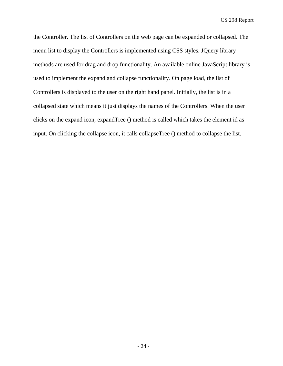the Controller. The list of Controllers on the web page can be expanded or collapsed. The menu list to display the Controllers is implemented using CSS styles. JQuery library methods are used for drag and drop functionality. An available online JavaScript library is used to implement the expand and collapse functionality. On page load, the list of Controllers is displayed to the user on the right hand panel. Initially, the list is in a collapsed state which means it just displays the names of the Controllers. When the user clicks on the expand icon, expandTree () method is called which takes the element id as input. On clicking the collapse icon, it calls collapseTree () method to collapse the list.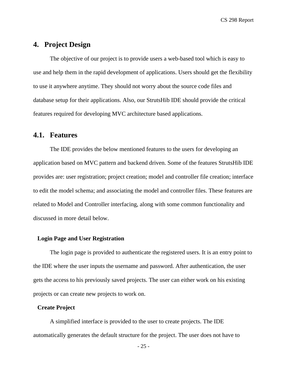## <span id="page-24-0"></span>**4. Project Design**

The objective of our project is to provide users a web-based tool which is easy to use and help them in the rapid development of applications. Users should get the flexibility to use it anywhere anytime. They should not worry about the source code files and database setup for their applications. Also, our StrutsHib IDE should provide the critical features required for developing MVC architecture based applications.

## <span id="page-24-1"></span>**4.1. Features**

The IDE provides the below mentioned features to the users for developing an application based on MVC pattern and backend driven. Some of the features StrutsHib IDE provides are: user registration; project creation; model and controller file creation; interface to edit the model schema; and associating the model and controller files. These features are related to Model and Controller interfacing, along with some common functionality and discussed in more detail below.

#### **Login Page and User Registration**

The login page is provided to authenticate the registered users. It is an entry point to the IDE where the user inputs the username and password. After authentication, the user gets the access to his previously saved projects. The user can either work on his existing projects or can create new projects to work on.

#### **Create Project**

A simplified interface is provided to the user to create projects. The IDE automatically generates the default structure for the project. The user does not have to

- 25 -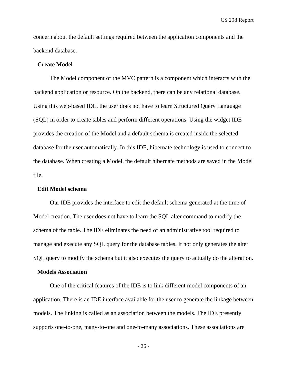concern about the default settings required between the application components and the backend database.

#### **Create Model**

The Model component of the MVC pattern is a component which interacts with the backend application or resource. On the backend, there can be any relational database. Using this web-based IDE, the user does not have to learn Structured Query Language (SQL) in order to create tables and perform different operations. Using the widget IDE provides the creation of the Model and a default schema is created inside the selected database for the user automatically. In this IDE, hibernate technology is used to connect to the database. When creating a Model, the default hibernate methods are saved in the Model file.

#### **Edit Model schema**

Our IDE provides the interface to edit the default schema generated at the time of Model creation. The user does not have to learn the SQL alter command to modify the schema of the table. The IDE eliminates the need of an administrative tool required to manage and execute any SQL query for the database tables. It not only generates the alter SQL query to modify the schema but it also executes the query to actually do the alteration.

#### **Models Association**

One of the critical features of the IDE is to link different model components of an application. There is an IDE interface available for the user to generate the linkage between models. The linking is called as an association between the models. The IDE presently supports one-to-one, many-to-one and one-to-many associations. These associations are

- 26 -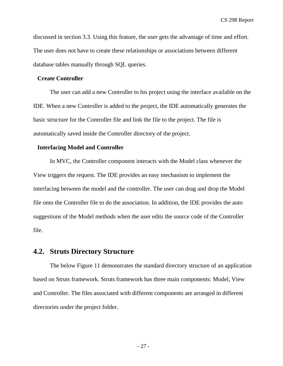discussed in section 3.3. Using this feature, the user gets the advantage of time and effort. The user does not have to create these relationships or associations between different database tables manually through SQL queries.

#### **Create Controller**

The user can add a new Controller to his project using the interface available on the IDE. When a new Controller is added to the project, the IDE automatically generates the basic structure for the Controller file and link the file to the project. The file is automatically saved inside the Controller directory of the project.

#### **Interfacing Model and Controller**

In MVC, the Controller component interacts with the Model class whenever the View triggers the request. The IDE provides an easy mechanism to implement the interfacing between the model and the controller. The user can drag and drop the Model file onto the Controller file to do the association. In addition, the IDE provides the auto suggestions of the Model methods when the user edits the source code of the Controller file.

## <span id="page-26-0"></span>**4.2. Struts Directory Structure**

The below Figure 11 demonstrates the standard directory structure of an application based on Struts framework. Struts framework has three main components: Model, View and Controller. The files associated with different components are arranged in different directories under the project folder.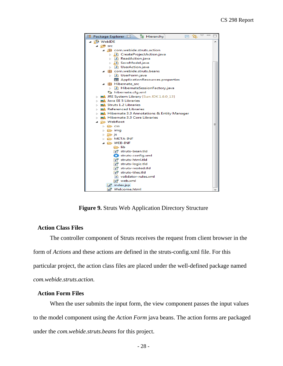

**Figure 9.** Struts Web Application Directory Structure

#### <span id="page-27-0"></span>**Action Class Files**

The controller component of Struts receives the request from client browser in the form of *Actions* and these actions are defined in the struts-config.xml file. For this particular project, the action class files are placed under the well-defined package named *com.webide.struts.action.* 

#### **Action Form Files**

When the user submits the input form, the view component passes the input values to the model component using the *Action Form* java beans. The action forms are packaged under the *com.webide.struts.beans* for this project.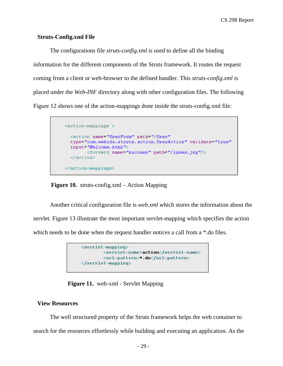#### **Struts-Config.xml File**

The configurations file *struts-config.xml* is used to define all the binding information for the different components of the Struts framework. It routes the request coming from a client or web-browser to the defined handler. This *struts-config.xml* is placed under the *Web-INF* directory along with other configuration files. The following Figure 12 shows one of the action-mappings done inside the struts-config.xml file:

```
<action-mappings >
 <action name="UserForm" path="/User"
 type="com.webide.struts.action.UserAction" validate="true"
  input="Welcome.html">
       <forward name="success" path="/index.jsp"/>
 </action>
</action-mappings>
```
**Figure 10.** struts-config.xml – Action Mapping

<span id="page-28-0"></span>Another critical configuration file is *web.xml* which stores the information about the servlet. Figure 13 illustrate the most important servlet-mapping which specifies the action which needs to be done when the request handler notices a call from a  $*$ .do files.



 **Figure 11.** web-xml - Servlet Mapping

#### <span id="page-28-1"></span>**View Resources**

The well structured property of the Struts framework helps the web container to search for the resources effortlessly while building and executing an application. As the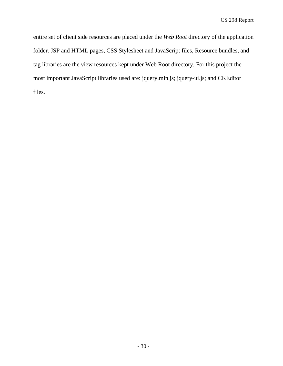entire set of client side resources are placed under the *Web Root* directory of the application folder. JSP and HTML pages, CSS Stylesheet and JavaScript files, Resource bundles, and tag libraries are the view resources kept under Web Root directory. For this project the most important JavaScript libraries used are: jquery.min.js; jquery-ui.js; and CKEditor files.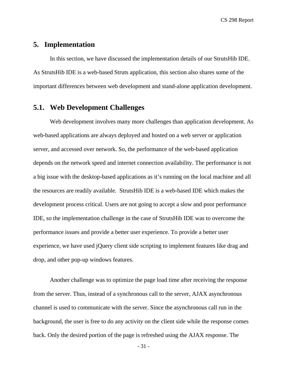## <span id="page-30-0"></span>**5. Implementation**

In this section, we have discussed the implementation details of our StrutsHib IDE. As StrutsHib IDE is a web-based Struts application, this section also shares some of the important differences between web development and stand-alone application development.

## <span id="page-30-1"></span>**5.1. Web Development Challenges**

Web development involves many more challenges than application development. As web-based applications are always deployed and hosted on a web server or application server, and accessed over network. So, the performance of the web-based application depends on the network speed and internet connection availability. The performance is not a big issue with the desktop-based applications as it's running on the local machine and all the resources are readily available. StrutsHib IDE is a web-based IDE which makes the development process critical. Users are not going to accept a slow and poor performance IDE, so the implementation challenge in the case of StrutsHib IDE was to overcome the performance issues and provide a better user experience. To provide a better user experience, we have used jQuery client side scripting to implement features like drag and drop, and other pop-up windows features.

Another challenge was to optimize the page load time after receiving the response from the server. Thus, instead of a synchronous call to the server, AJAX asynchronous channel is used to communicate with the server. Since the asynchronous call run in the background, the user is free to do any activity on the client side while the response comes back. Only the desired portion of the page is refreshed using the AJAX response. The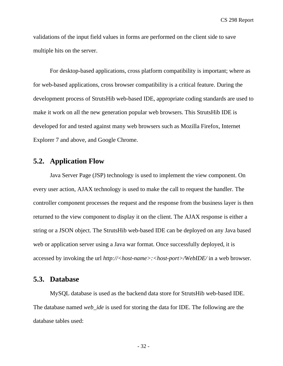validations of the input field values in forms are performed on the client side to save multiple hits on the server.

For desktop-based applications, cross platform compatibility is important; where as for web-based applications, cross browser compatibility is a critical feature. During the development process of StrutsHib web-based IDE, appropriate coding standards are used to make it work on all the new generation popular web browsers. This StrutsHib IDE is developed for and tested against many web browsers such as Mozilla Firefox, Internet Explorer 7 and above, and Google Chrome.

## <span id="page-31-0"></span>**5.2. Application Flow**

Java Server Page (JSP) technology is used to implement the view component. On every user action, AJAX technology is used to make the call to request the handler. The controller component processes the request and the response from the business layer is then returned to the view component to display it on the client. The AJAX response is either a string or a JSON object. The StrutsHib web-based IDE can be deployed on any Java based web or application server using a Java war format. Once successfully deployed, it is accessed by invoking the url *http://<host-name>:<host-port>/WebIDE/* in a web browser.

## <span id="page-31-1"></span>**5.3. Database**

MySQL database is used as the backend data store for StrutsHib web-based IDE. The database named *web\_ide* is used for storing the data for IDE. The following are the database tables used: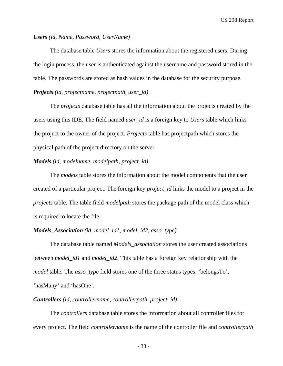#### *Users (id, Name, Password, UserName)*

The database table *Users* stores the information about the registered users. During the login process, the user is authenticated against the username and password stored in the table. The passwords are stored as hash values in the database for the security purpose. *Projects (id, projectname, projectpath, user\_id)*

The *projects* database table has all the information about the projects created by the users using this IDE. The field named *user\_id* is a foreign key to *Users* table which links the project to the owner of the project. *Projects* table has projectpath which stores the physical path of the project directory on the server.

#### *Models (id, modelname, modelpath, project\_id)*

The *models* table stores the information about the model components that the user created of a particular project. The foreign key *project\_id* links the model to a project in the *projects* table. The table field *modelpath* stores the package path of the model class which is required to locate the file.

#### *Models\_Association (id, model\_id1, model\_id2, asso\_type)*

The database table named *Models\_association* stores the user created associations between *model\_id1* and *model\_id2*. This table has a foreign key relationship with the *model* table. The *asso\_type* field stores one of the three status types: 'belongsTo', 'hasMany' and 'hasOne'.

#### *Controllers (id, controllername, controllerpath, project\_id)*

The *controllers* database table stores the information about all controller files for every project. The field *controllername* is the name of the controller file and *controllerpath*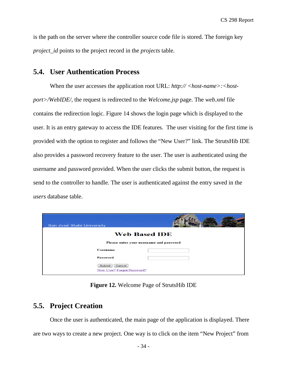is the path on the server where the controller source code file is stored. The foreign key *project\_id* points to the project record in the *projects* table.

## <span id="page-33-0"></span>**5.4. User Authentication Process**

When the user accesses the application root URL:  $http://<:>host$ *port>/WebIDE/*, the request is redirected to the *Welcome.jsp* page. The *web.xml* file contains the redirection logic. Figure 14 shows the login page which is displayed to the user. It is an entry gateway to access the IDE features. The user visiting for the first time is provided with the option to register and follows the "New User?" link. The StrutsHib IDE also provides a password recovery feature to the user. The user is authenticated using the username and password provided. When the user clicks the submit button, the request is send to the controller to handle. The user is authenticated against the entry saved in the *users* database table.

| San José State University                      |  |
|------------------------------------------------|--|
| <b>Web Based IDE</b>                           |  |
| Please enter your username and password        |  |
| <b>Username</b>                                |  |
| <b>Password</b>                                |  |
| Submit<br>Cancel<br>New User? Forgot Password? |  |

**Figure 12.** Welcome Page of StrutsHib IDE

## <span id="page-33-2"></span><span id="page-33-1"></span>**5.5. Project Creation**

Once the user is authenticated, the main page of the application is displayed. There are two ways to create a new project. One way is to click on the item "New Project" from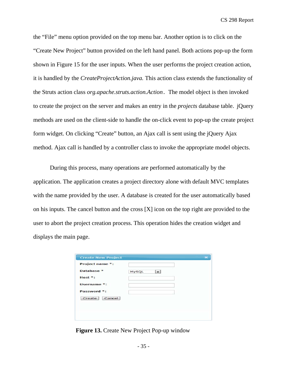the "File" menu option provided on the top menu bar. Another option is to click on the "Create New Project" button provided on the left hand panel. Both actions pop-up the form shown in Figure 15 for the user inputs. When the user performs the project creation action, it is handled by the *CreateProjectAction.java.* This action class extends the functionality of the Struts action class *org.apache.struts.action.Action***.** The model object is then invoked to create the project on the server and makes an entry in the *projects* database table. jQuery methods are used on the client-side to handle the on-click event to pop-up the create project form widget. On clicking "Create" button, an Ajax call is sent using the jQuery Ajax method. Ajax call is handled by a controller class to invoke the appropriate model objects.

During this process, many operations are performed automatically by the application. The application creates a project directory alone with default MVC templates with the name provided by the user. A database is created for the user automatically based on his inputs. The cancel button and the cross [X] icon on the top right are provided to the user to abort the project creation process. This operation hides the creation widget and displays the main page.

| Project name *: |       |  |
|-----------------|-------|--|
| Database *      | MySQL |  |
| Host *:         |       |  |
| Username *:     |       |  |
| Password *:     |       |  |
| Create Cancel   |       |  |

<span id="page-34-0"></span>**Figure 13.** Create New Project Pop-up window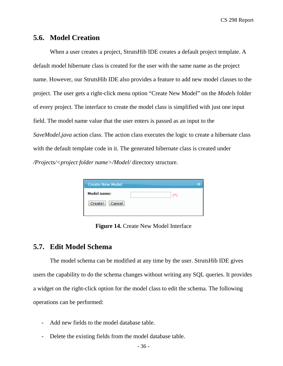## <span id="page-35-0"></span>**5.6. Model Creation**

When a user creates a project, StrutsHib IDE creates a default project template. A default model hibernate class is created for the user with the same name as the project name. However, our StrutsHib IDE also provides a feature to add new model classes to the project. The user gets a right-click menu option "Create New Model" on the *Models* folder of every project. The interface to create the model class is simplified with just one input field. The model name value that the user enters is passed as an input to the *SaveModel.java* action class. The action class executes the logic to create a hibernate class with the default template code in it. The generated hibernate class is created under */Projects/<project folder name>/Model/* directory structure.

| <b>Create New Model</b> |       |  |
|-------------------------|-------|--|
| <b>Model name:</b>      | $(*)$ |  |
| Cancel<br>Create!       |       |  |
|                         |       |  |

**Figure 14.** Create New Model Interface

## <span id="page-35-2"></span><span id="page-35-1"></span>**5.7. Edit Model Schema**

The model schema can be modified at any time by the user. StrutsHib IDE gives users the capability to do the schema changes without writing any SQL queries. It provides a widget on the right-click option for the model class to edit the schema. The following operations can be performed:

- Add new fields to the model database table.
- Delete the existing fields from the model database table.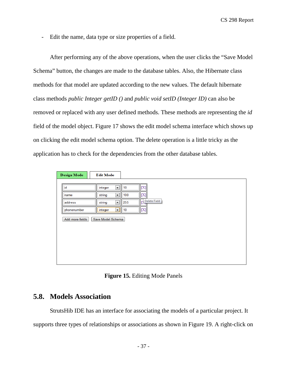- Edit the name, data type or size properties of a field.

After performing any of the above operations, when the user clicks the "Save Model Schema" button, the changes are made to the database tables. Also, the Hibernate class methods for that model are updated according to the new values. The default hibernate class methods *public Integer getID ()* and *public void setID (Integer ID)* can also be removed or replaced with any user defined methods. These methods are representing the *id* field of the model object. Figure 17 shows the edit model schema interface which shows up on clicking the edit model schema option. The delete operation is a little tricky as the application has to check for the dependencies from the other database tables.

| <b>Design Mode</b> | <b>Edit Mode</b>                   |                               |
|--------------------|------------------------------------|-------------------------------|
|                    |                                    |                               |
| id                 | $\blacktriangledown$<br>integer    | $[{\bf X}]$<br>10             |
| name               | string<br>$\overline{\phantom{a}}$ | 100<br>$[{\bf X}]$            |
| address            | string<br>$\overline{\phantom{a}}$ | Delete Field<br>p<br>255<br>т |
| phonenumber        | integer                            | $[{\bf X}]$<br>$\Box$ 10      |
| Add more fields    | Save Model Schema                  |                               |
|                    |                                    |                               |
|                    |                                    |                               |
|                    |                                    |                               |
|                    |                                    |                               |
|                    |                                    |                               |

**Figure 15.** Editing Mode Panels

## <span id="page-36-1"></span><span id="page-36-0"></span>**5.8. Models Association**

StrutsHib IDE has an interface for associating the models of a particular project. It supports three types of relationships or associations as shown in Figure 19. A right-click on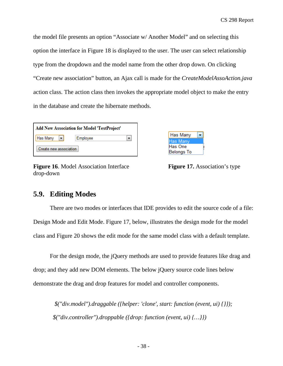the model file presents an option "Associate w/ Another Model" and on selecting this option the interface in Figure 18 is displayed to the user. The user can select relationship type from the dropdown and the model name from the other drop down. On clicking "Create new association" button, an Ajax call is made for the *CreateModelAssoAction.java* action class. The action class then invokes the appropriate model object to make the entry in the database and create the hibernate methods.

| <b>Add New Association for Model 'TestProject'</b> |          |  |
|----------------------------------------------------|----------|--|
| Has Many<br>$\blacksquare$                         | Employee |  |
| Create new association                             |          |  |

<span id="page-37-1"></span>**Figure 16.** Model Association Interface **Figure 17.** Association's type drop-down

| Has Many          |  |
|-------------------|--|
| lHas Manv         |  |
| Has One           |  |
| <b>Belongs To</b> |  |

## <span id="page-37-0"></span>**5.9. Editing Modes**

There are two modes or interfaces that IDE provides to edit the source code of a file: Design Mode and Edit Mode. Figure 17, below, illustrates the design mode for the model class and Figure 20 shows the edit mode for the same model class with a default template.

 $\overline{\phantom{a}}$ 

For the design mode, the jQuery methods are used to provide features like drag and drop; and they add new DOM elements. The below jQuery source code lines below demonstrate the drag and drop features for model and controller components.

*\$("div.model").draggable ({helper: 'clone', start: function (event, ui) {}}); \$("div.controller").droppable ({drop: function (event, ui) {…}})*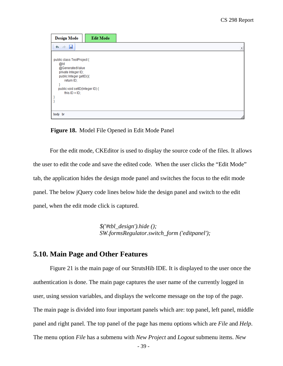| <b>Design Mode</b>                                                                                                                                                           |
|------------------------------------------------------------------------------------------------------------------------------------------------------------------------------|
| $\mathbf{A} \rightarrow \mathbf{R}$                                                                                                                                          |
| public class TestProject {<br>@ld<br>@GeneratedValue<br>private Integer ID;<br>public Integer getID(){<br>return ID;<br>public void setID(Integer ID) {<br>this. $ID = ID$ ; |
|                                                                                                                                                                              |
| body br                                                                                                                                                                      |

 **Figure 18.** Model File Opened in Edit Mode Panel

<span id="page-38-1"></span>For the edit mode, CKEditor is used to display the source code of the files. It allows the user to edit the code and save the edited code. When the user clicks the "Edit Mode" tab, the application hides the design mode panel and switches the focus to the edit mode panel. The below jQuery code lines below hide the design panel and switch to the edit panel, when the edit mode click is captured.

> *\$('#tbl\_design').hide (); SW.formsRegulator.switch\_form ('editpanel');*

## <span id="page-38-0"></span>**5.10. Main Page and Other Features**

Figure 21 is the main page of our StrutsHib IDE. It is displayed to the user once the authentication is done. The main page captures the user name of the currently logged in user, using session variables, and displays the welcome message on the top of the page. The main page is divided into four important panels which are: top panel, left panel, middle panel and right panel. The top panel of the page has menu options which are *File* and *Help*. The menu option *File* has a submenu with *New Project* and *Logout* submenu items. *New*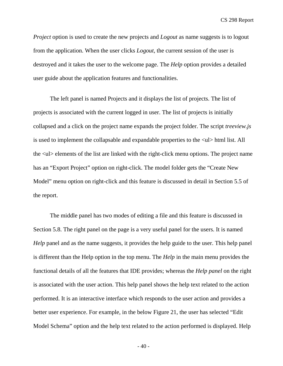*Project* option is used to create the new projects and *Logout* as name suggests is to logout from the application. When the user clicks *Logout*, the current session of the user is destroyed and it takes the user to the welcome page. The *Help* option provides a detailed user guide about the application features and functionalities.

The left panel is named Projects and it displays the list of projects. The list of projects is associated with the current logged in user. The list of projects is initially collapsed and a click on the project name expands the project folder. The script *treeview.js* is used to implement the collapsable and expandable properties to the  $\langle ul \rangle$  html list. All the <ul> elements of the list are linked with the right-click menu options. The project name has an "Export Project" option on right-click. The model folder gets the "Create New Model" menu option on right-click and this feature is discussed in detail in Section 5.5 of the report.

The middle panel has two modes of editing a file and this feature is discussed in Section 5.8. The right panel on the page is a very useful panel for the users. It is named *Help* panel and as the name suggests, it provides the help guide to the user. This help panel is different than the Help option in the top menu. The *Help* in the main menu provides the functional details of all the features that IDE provides; whereas the *Help panel* on the right is associated with the user action. This help panel shows the help text related to the action performed. It is an interactive interface which responds to the user action and provides a better user experience. For example, in the below Figure 21, the user has selected "Edit Model Schema" option and the help text related to the action performed is displayed. Help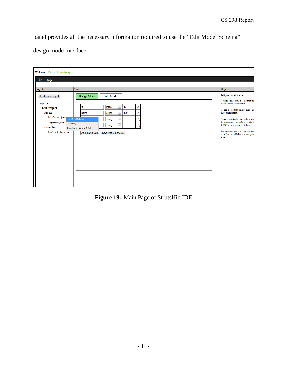panel provides all the necessary information required to use the "Edit Model Schema"

design mode interface.

| Welcome, Deepti Bhardwaj                  |                                                                    |                                                                                         |  |
|-------------------------------------------|--------------------------------------------------------------------|-----------------------------------------------------------------------------------------|--|
| File<br>Help                              |                                                                    |                                                                                         |  |
|                                           | View                                                               | Help                                                                                    |  |
| Projects                                  |                                                                    |                                                                                         |  |
| Create new project                        | <b>Design Mode</b><br><b>Edit Mode</b>                             | Edit your model schema                                                                  |  |
| Projects                                  |                                                                    | You can change your model attribute:<br>values, default values/length.                  |  |
| <b>TestProject</b>                        | $\blacktriangledown$<br>10<br>$[{\rm X}]$<br>integer<br>id         | To add more attributes, just click on /                                                 |  |
| Model                                     | $[{\bf X}]$<br>$\blacktriangledown$<br>100<br>string<br>name       | more fields button.                                                                     |  |
| TestProject.java Edit Model Schema        | $\vert \mathbf{v} \vert$<br>$[{\rm X}]$<br>string                  | You can also delete your model attrib<br>by clicking on X on each row. Note th          |  |
| Employee.java<br>Add Entry<br>Controllers | $\overline{\phantom{0}}$<br>[X]<br>string                          | CANNOT delete any id attribute                                                          |  |
| TestController.java                       | Associate w/ Another Model<br>Add more fields<br>Save Model Schema | Once you are done with your changes<br>click 'Save model Schema' to save you<br>schema. |  |
|                                           |                                                                    |                                                                                         |  |
|                                           |                                                                    |                                                                                         |  |
|                                           |                                                                    |                                                                                         |  |
|                                           |                                                                    |                                                                                         |  |
|                                           |                                                                    |                                                                                         |  |
|                                           |                                                                    |                                                                                         |  |
|                                           |                                                                    |                                                                                         |  |

<span id="page-40-0"></span>**Figure 19.** Main Page of StrutsHib IDE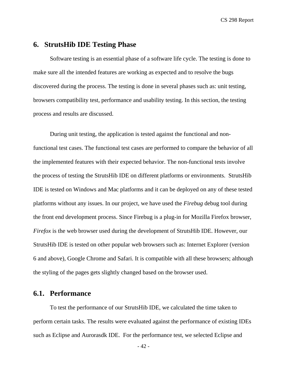## <span id="page-41-0"></span>**6. StrutsHib IDE Testing Phase**

Software testing is an essential phase of a software life cycle. The testing is done to make sure all the intended features are working as expected and to resolve the bugs discovered during the process. The testing is done in several phases such as: unit testing, browsers compatibility test, performance and usability testing. In this section, the testing process and results are discussed.

During unit testing, the application is tested against the functional and nonfunctional test cases. The functional test cases are performed to compare the behavior of all the implemented features with their expected behavior. The non-functional tests involve the process of testing the StrutsHib IDE on different platforms or environments. StrutsHib IDE is tested on Windows and Mac platforms and it can be deployed on any of these tested platforms without any issues. In our project, we have used the *Firebug* debug tool during the front end development process. Since Firebug is a plug-in for Mozilla Firefox browser, *Firefox* is the web browser used during the development of StrutsHib IDE. However, our StrutsHib IDE is tested on other popular web browsers such as: Internet Explorer (version 6 and above), Google Chrome and Safari. It is compatible with all these browsers; although the styling of the pages gets slightly changed based on the browser used.

## <span id="page-41-1"></span>**6.1. Performance**

To test the performance of our StrutsHib IDE, we calculated the time taken to perform certain tasks. The results were evaluated against the performance of existing IDEs such as Eclipse and Aurorasdk IDE. For the performance test, we selected Eclipse and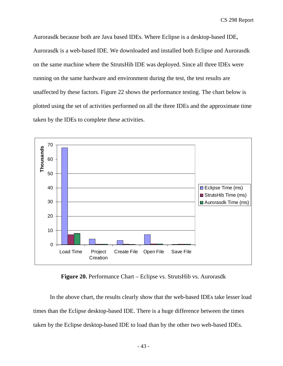Aurorasdk because both are Java based IDEs. Where Eclipse is a desktop-based IDE, Aurorasdk is a web-based IDE. We downloaded and installed both Eclipse and Aurorasdk on the same machine where the StrutsHib IDE was deployed. Since all three IDEs were running on the same hardware and environment during the test, the test results are unaffected by these factors. Figure 22 shows the performance testing. The chart below is plotted using the set of activities performed on all the three IDEs and the approximate time taken by the IDEs to complete these activities.



**Figure 20.** Performance Chart – Eclipse vs. StrutsHib vs. Aurorasdk

<span id="page-42-0"></span>In the above chart, the results clearly show that the web-based IDEs take lesser load times than the Eclipse desktop-based IDE. There is a huge difference between the times taken by the Eclipse desktop-based IDE to load than by the other two web-based IDEs.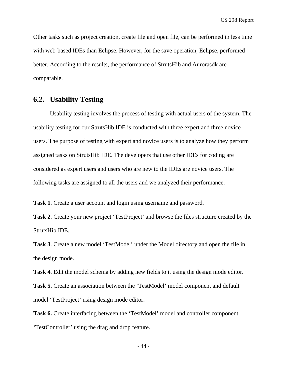Other tasks such as project creation, create file and open file, can be performed in less time with web-based IDEs than Eclipse. However, for the save operation, Eclipse, performed better. According to the results, the performance of StrutsHib and Aurorasdk are comparable.

## <span id="page-43-0"></span>**6.2. Usability Testing**

Usability testing involves the process of testing with actual users of the system. The usability testing for our StrutsHib IDE is conducted with three expert and three novice users. The purpose of testing with expert and novice users is to analyze how they perform assigned tasks on StrutsHib IDE. The developers that use other IDEs for coding are considered as expert users and users who are new to the IDEs are novice users. The following tasks are assigned to all the users and we analyzed their performance.

**Task 1**. Create a user account and login using username and password.

**Task 2**. Create your new project 'TestProject' and browse the files structure created by the StrutsHib IDE.

**Task 3**. Create a new model 'TestModel' under the Model directory and open the file in the design mode.

**Task 4**. Edit the model schema by adding new fields to it using the design mode editor.

**Task 5.** Create an association between the 'TestModel' model component and default model 'TestProject' using design mode editor.

**Task 6.** Create interfacing between the 'TestModel' model and controller component 'TestController' using the drag and drop feature.

- 44 -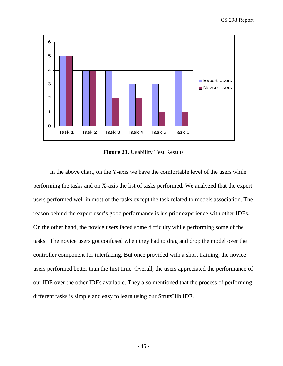

**Figure 21.** Usability Test Results

<span id="page-44-0"></span>In the above chart, on the Y-axis we have the comfortable level of the users while performing the tasks and on X-axis the list of tasks performed. We analyzed that the expert users performed well in most of the tasks except the task related to models association. The reason behind the expert user's good performance is his prior experience with other IDEs. On the other hand, the novice users faced some difficulty while performing some of the tasks. The novice users got confused when they had to drag and drop the model over the controller component for interfacing. But once provided with a short training, the novice users performed better than the first time. Overall, the users appreciated the performance of our IDE over the other IDEs available. They also mentioned that the process of performing different tasks is simple and easy to learn using our StrutsHib IDE.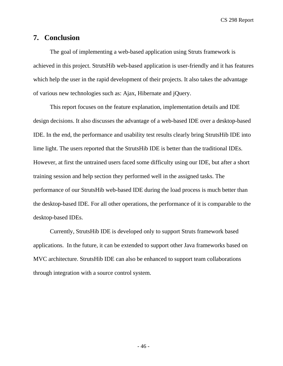## <span id="page-45-0"></span>**7. Conclusion**

The goal of implementing a web-based application using Struts framework is achieved in this project. StrutsHib web-based application is user-friendly and it has features which help the user in the rapid development of their projects. It also takes the advantage of various new technologies such as: Ajax, Hibernate and jQuery.

This report focuses on the feature explanation, implementation details and IDE design decisions. It also discusses the advantage of a web-based IDE over a desktop-based IDE. In the end, the performance and usability test results clearly bring StrutsHib IDE into lime light. The users reported that the StrutsHib IDE is better than the traditional IDEs. However, at first the untrained users faced some difficulty using our IDE, but after a short training session and help section they performed well in the assigned tasks. The performance of our StrutsHib web-based IDE during the load process is much better than the desktop-based IDE. For all other operations, the performance of it is comparable to the desktop-based IDEs.

Currently, StrutsHib IDE is developed only to support Struts framework based applications. In the future, it can be extended to support other Java frameworks based on MVC architecture. StrutsHib IDE can also be enhanced to support team collaborations through integration with a source control system.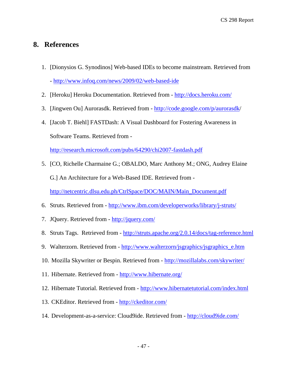## <span id="page-46-0"></span>**8. References**

- 1. [Dionysios G. Synodinos] Web-based IDEs to become mainstream. Retrieved from - <http://www.infoq.com/news/2009/02/web-based-ide>
- 2. [Heroku] Heroku Documentation. Retrieved from <http://docs.heroku.com/>
- 3. [Jingwen Ou] Aurorasdk. Retrieved from <http://code.google.com/p/aurorasdk/>
- 4. [Jacob T. Biehl] FASTDash: A Visual Dashboard for Fostering Awareness in Software Teams. Retrieved from -

<http://research.microsoft.com/pubs/64290/chi2007-fastdash.pdf>

- 5. [CO, Richelle Charmaine G.; OBALDO, Marc Anthony M.; ONG, Audrey Elaine G.] An Architecture for a Web-Based IDE. Retrieved from [http://netcentric.dlsu.edu.ph/CtrlSpace/DOC/MAIN/Main\\_Document.pdf](http://netcentric.dlsu.edu.ph/CtrlSpace/DOC/MAIN/Main_Document.pdf)
- 6. Struts. Retrieved from <http://www.ibm.com/developerworks/library/j-struts/>
- 7. JQuery. Retrieved from <http://jquery.com/>
- 8. Struts Tags. Retrieved from -<http://struts.apache.org/2.0.14/docs/tag-reference.html>
- 9. Walterzorn. Retrieved from [http://www.walterzorn/jsgraphics/jsgraphics\\_e.htm](http://www.walterzorn/jsgraphics/jsgraphics_e.htm)
- 10. Mozilla Skywriter or Bespin. Retrieved from <http://mozillalabs.com/skywriter/>
- 11. Hibernate. Retrieved from <http://www.hibernate.org/>
- 12. Hibernate Tutorial. Retrieved from <http://www.hibernatetutorial.com/index.html>
- 13. CKEditor. Retrieved from -<http://ckeditor.com/>
- 14. Development-as-a-service: Cloud9ide. Retrieved from -<http://cloud9ide.com/>